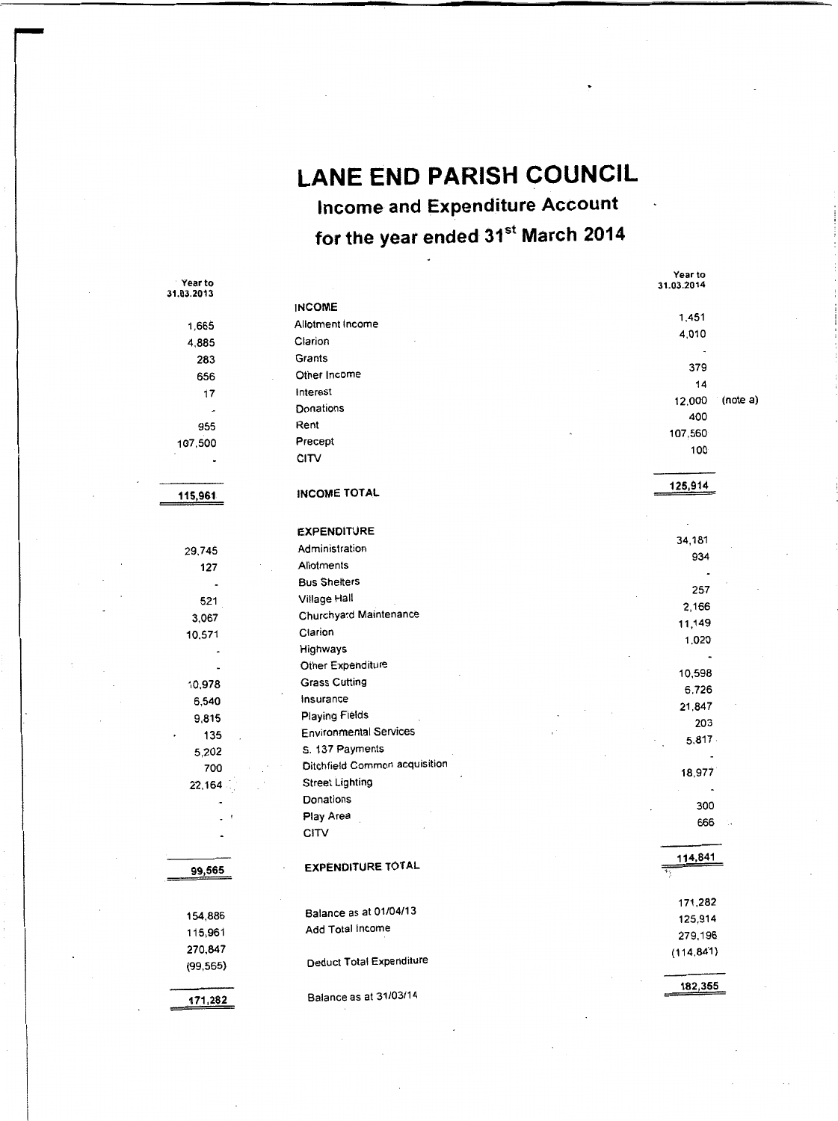**LANE END PARISH COUNCIL Income and Expenditure Account for the year ended 31st March 2014** 

| Year to    |                               | Year to<br>31.03.2014 |          |
|------------|-------------------------------|-----------------------|----------|
| 31.03.2013 | <b>INCOME</b>                 |                       |          |
| 1,665      | Allotment Income              | 1,451                 |          |
| 4,885      | Clarion                       | 4,010                 |          |
| 283        | Grants                        | $\ddot{}$             |          |
| 656        | Other Income                  | 379                   |          |
|            | Interest                      | 14                    |          |
| 17         | Donations                     | 12,000                | (note a) |
|            | Rent                          | 400                   |          |
| 955        | Precept                       | 107,560               |          |
| 107,500    | <b>CITV</b>                   | 100                   |          |
|            |                               |                       |          |
|            |                               | 125,914               |          |
| 115,961    | INCOME TOTAL                  |                       |          |
|            |                               |                       |          |
|            | <b>EXPENDITURE</b>            | 34,181                |          |
| 29,745     | Administration                | 934                   |          |
| 127        | Allotments                    |                       |          |
|            | <b>Bus Shelters</b>           | 257                   |          |
| 521        | Village Hall                  | 2,166                 |          |
| 3,067      | Churchyard Maintenance        | 11,149                |          |
| 10,571     | Clarion                       | 1,020                 |          |
|            | <b>Highways</b>               |                       |          |
|            | Other Expenditure             | 10,598                |          |
| 10,978     | <b>Grass Cutting</b>          | 6,726                 |          |
| 6,540      | Insurance                     | 21.847                |          |
| 9,815      | Playing Fields                | 203                   |          |
| 135        | <b>Environmental Services</b> | 5,817                 |          |
| 5,202      | S. 137 Payments               |                       |          |
| 700        | Ditchfield Common acquisition | 18,977                |          |
| 22,164     | <b>Street Lighting</b>        |                       |          |
|            | Donations                     | 300                   |          |
|            | Play Area                     | 666                   |          |
|            | CITV                          |                       |          |
|            |                               |                       |          |
| 99,565     | <b>EXPENDITURE TOTAL</b>      | 114,841<br>Ŧ,         |          |
|            |                               |                       |          |
|            |                               | 171,282               |          |
| 154,886    | Balance as at 01/04/13        | 125,914               |          |
| 115,961    | Add Total Income              | 279,196               |          |
| 270,847    |                               | (114, 841)            |          |
| (99, 565)  | Deduct Total Expenditure      |                       |          |
|            |                               | 182,355               |          |
| 171,282    | Balance as at 31/03/14        |                       |          |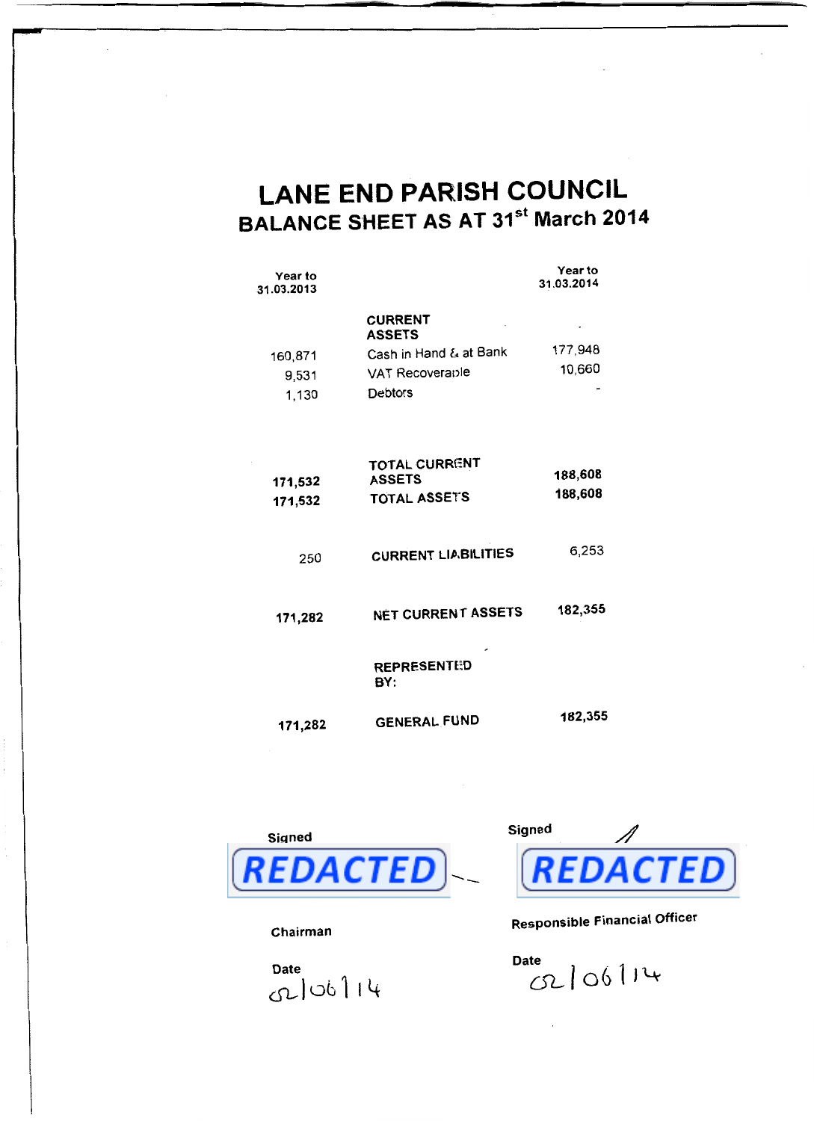# **LANE END PARISH COUNCIL BALANCE SHEET AS AT 31st March 2014**

Year to

| Year to<br>31.03.2013     |                                                                                                | י כםו גט<br>31.03.2014 |
|---------------------------|------------------------------------------------------------------------------------------------|------------------------|
| 160,871<br>9,531<br>1,130 | <b>CURRENT</b><br><b>ASSETS</b><br>Cash in Hand & at Bank<br>VAT Recoverable<br><b>Debtors</b> | 177,948<br>10,660      |
| 171,532<br>171,532        | <b>TOTAL CURRENT</b><br><b>ASSETS</b><br><b>TOTAL ASSETS</b>                                   | 188,608<br>188,608     |
| 250                       | <b>CURRENT LIABILITIES</b>                                                                     | 6,253                  |
| 171,282                   | NET CURRENT ASSETS                                                                             | 182,355                |
|                           | <b>REPRESENTED</b><br>BY:                                                                      |                        |
| 171.282                   | <b>GENERAL FUND</b>                                                                            | 182,355                |



Chairman

Date  $G2|06|14$ 



Responsible Financial Officer

Date  $c2|06|14$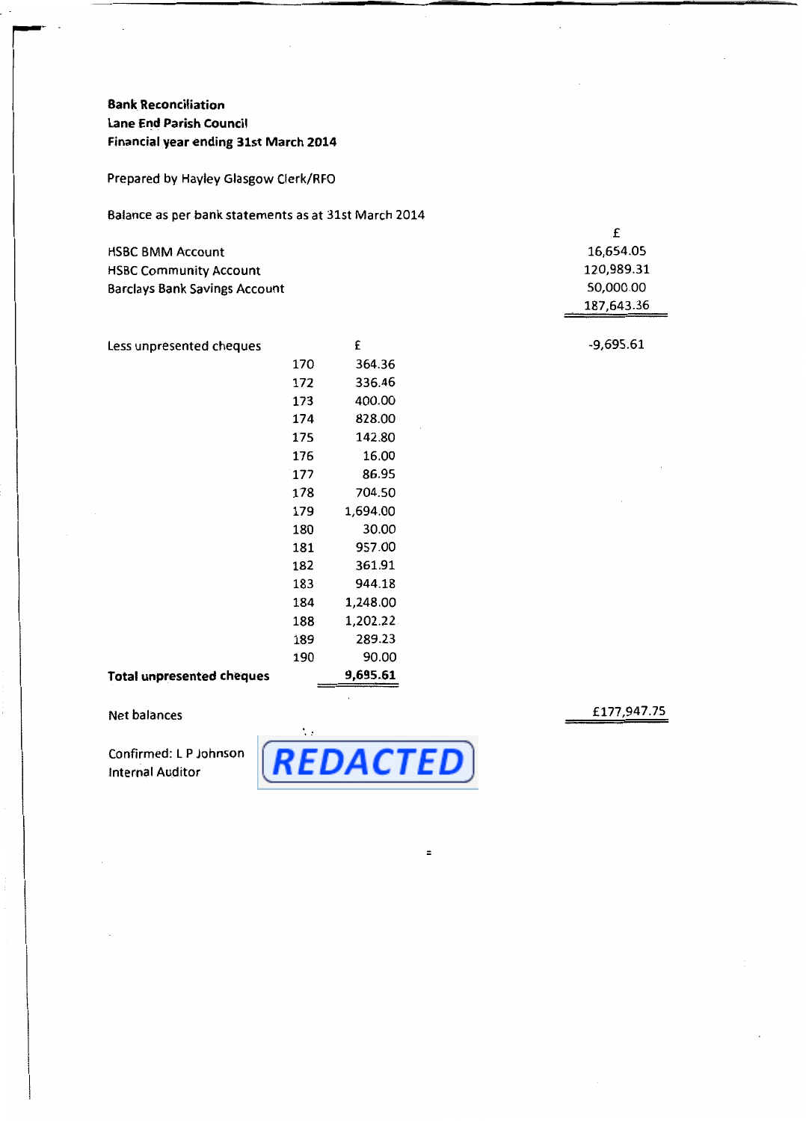# **Bank Reconciliation Lane End Parish Council Financial year ending 31st March 2014**

Prepared by Hayley Glasgow Clerk/RFO

Balance as per bank statements as at 31st March 2014

| <b>HSBC BMM Account</b>              | 16,654.05  |
|--------------------------------------|------------|
| <b>HSBC Community Account</b>        | 120,989.31 |
| <b>Barclays Bank Savings Account</b> | 50,000.00  |
|                                      | 187,643.36 |

Less unpresented cheques **Total unpresented cheques**  170 172 173 174 175 176 177 178 179 180 181 182 183 184 188 189 190 £ 364.36 336.46 400.00 828.00 142.80 16.00 86.95 704.50 1,694.00 30.00 957.00 361.91 944.18 1,248.00 1,202.22 289.23 90.00 **9,695.61** 

### Net balances

Confirmed: LP Johnson Internal Auditor



=

£177,947.75

-9,695.61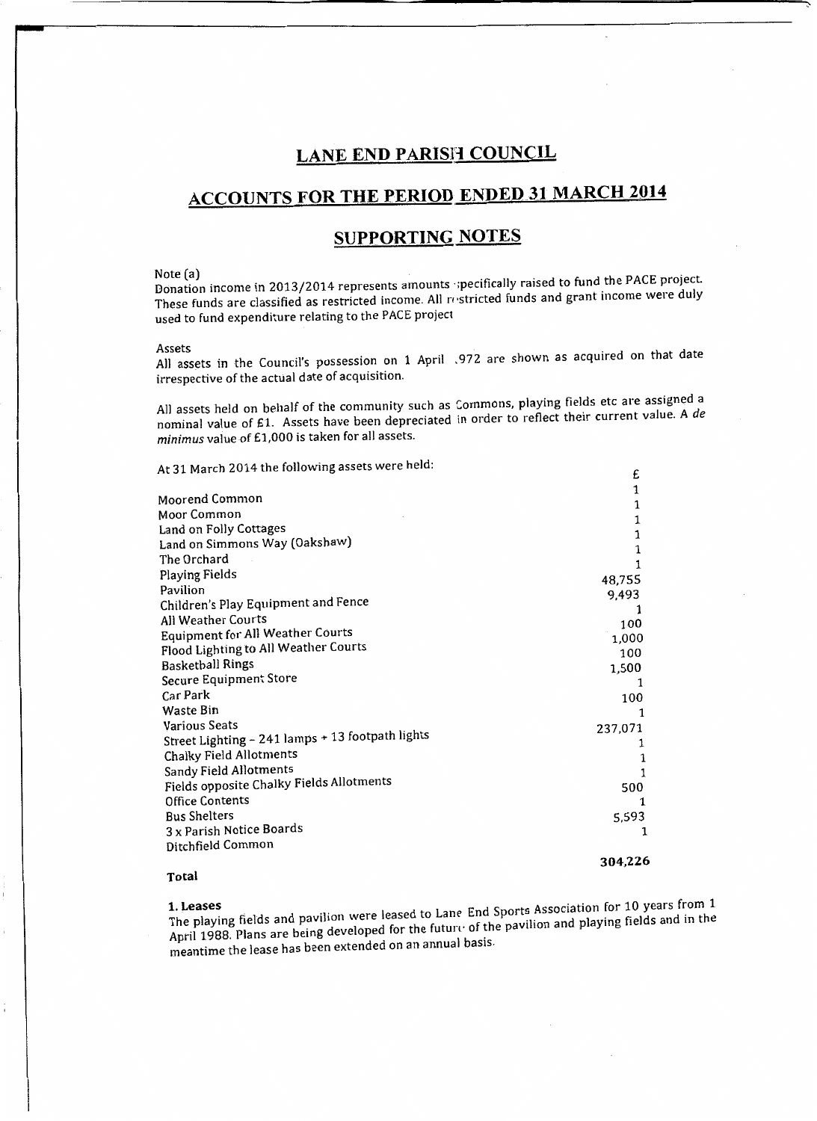# **LANE END PARISH COUNCIL**

# **ACCOUNTS FOR THE PERIOD ENDED 31 MARCH 2014**

# **SUPPORTING NOTES**

Note (a)<br>Donation income in 2013/2014 represents amounts specifically raised to fund the PACE project. These funds are classified as restricted income. All restricted funds and grant income were duly used to fund expenditure relating to the PACE project

Assets All assets in the Council's possession on 1 April . 972 are shown as acquired on that date irrespective of the actual date of acquisition.

All assets held on behalf of the community such as Commons, playing fields etc are assigned a nominal value of £1. Assets have been depreciated in order to reflect their current value. A de *minim us* value of £1,000 is taken for all assets.

£

 $\overline{a}$ 

At 31 March 2014 the following assets were held:

| Moorend Common                                   | 1       |
|--------------------------------------------------|---------|
| Moor Common                                      | 1       |
|                                                  | 1       |
| Land on Folly Cottages                           | 1       |
| Land on Simmons Way (Oakshaw)                    | 1       |
| The Orchard                                      |         |
| Playing Fields                                   | 48,755  |
| Pavilion                                         | 9,493   |
| Children's Play Equipment and Fence              |         |
| All Weather Courts                               | 100     |
| <b>Equipment for All Weather Courts</b>          | 1,000   |
| Flood Lighting to All Weather Courts             | 100     |
| <b>Basketball Rings</b>                          | 1,500   |
| Secure Equipment Store                           |         |
| Car Park                                         | 100     |
| Waste Bin                                        |         |
| <b>Various Seats</b>                             | 237,071 |
| Street Lighting - 241 lamps + 13 footpath lights |         |
| Chalky Field Allotments                          |         |
| Sandy Field Allotments                           |         |
| Fields opposite Chalky Fields Allotments         | 500     |
| <b>Office Contents</b>                           | 1       |
| <b>Bus Shelters</b>                              | 5,593   |
| 3 x Parish Notice Boards                         | 1       |
| Ditchfield Common                                |         |
|                                                  | 304,226 |
|                                                  |         |

# **Total**

The playing fields and pavilion were leased to Lane End Sports Association for 10 years from 1 April 1988. Plans are being developed for the future of the pavilion and playing fields and in the meantime the lease has been extended on an annual basis.